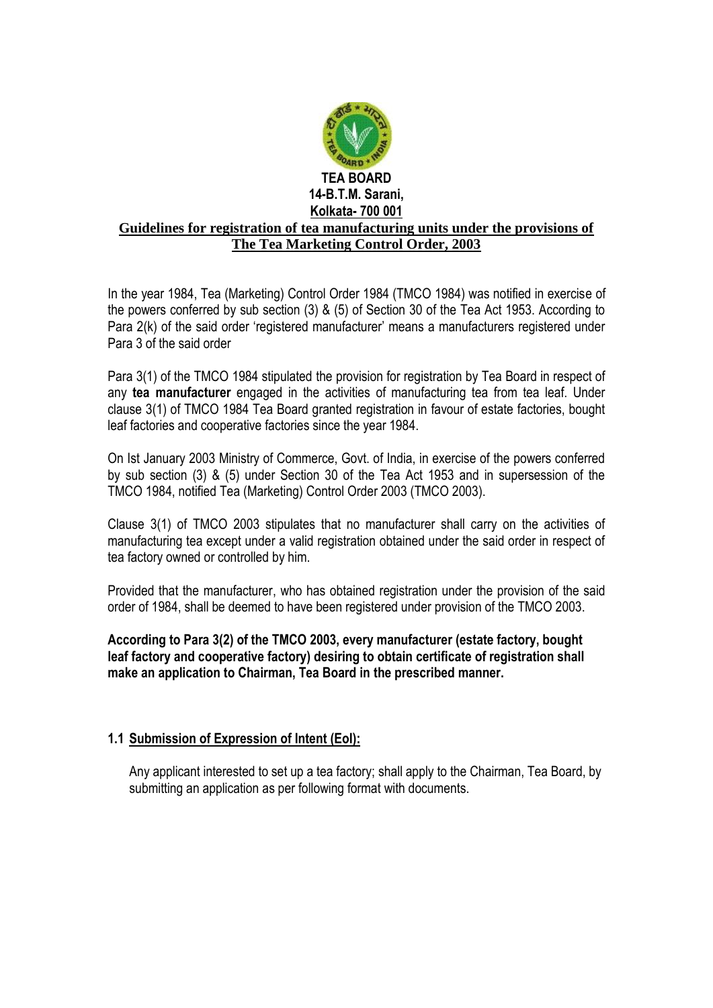

In the year 1984, Tea (Marketing) Control Order 1984 (TMCO 1984) was notified in exercise of the powers conferred by sub section (3) & (5) of Section 30 of the Tea Act 1953. According to Para 2(k) of the said order 'registered manufacturer' means a manufacturers registered under Para 3 of the said order

Para 3(1) of the TMCO 1984 stipulated the provision for registration by Tea Board in respect of any **tea manufacturer** engaged in the activities of manufacturing tea from tea leaf. Under clause 3(1) of TMCO 1984 Tea Board granted registration in favour of estate factories, bought leaf factories and cooperative factories since the year 1984.

On Ist January 2003 Ministry of Commerce, Govt. of India, in exercise of the powers conferred by sub section (3) & (5) under Section 30 of the Tea Act 1953 and in supersession of the TMCO 1984, notified Tea (Marketing) Control Order 2003 (TMCO 2003).

Clause 3(1) of TMCO 2003 stipulates that no manufacturer shall carry on the activities of manufacturing tea except under a valid registration obtained under the said order in respect of tea factory owned or controlled by him.

Provided that the manufacturer, who has obtained registration under the provision of the said order of 1984, shall be deemed to have been registered under provision of the TMCO 2003.

**According to Para 3(2) of the TMCO 2003, every manufacturer (estate factory, bought leaf factory and cooperative factory) desiring to obtain certificate of registration shall make an application to Chairman, Tea Board in the prescribed manner.**

#### **1.1 Submission of Expression of Intent (EoI):**

Any applicant interested to set up a tea factory; shall apply to the Chairman, Tea Board, by submitting an application as per following format with documents.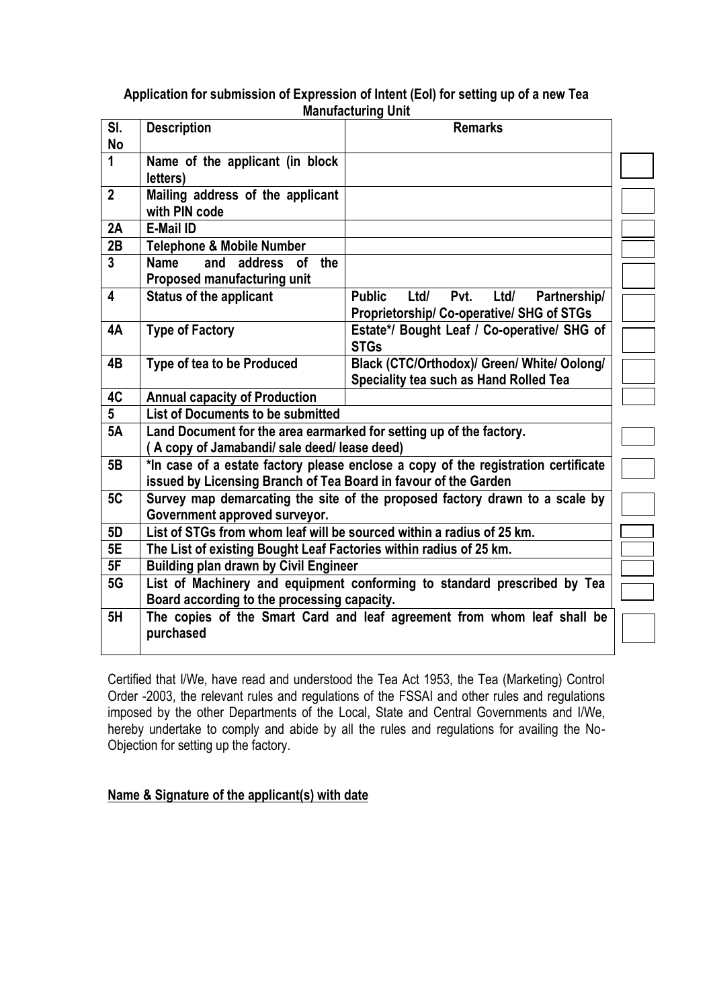#### **Application for submission of Expression of Intent (EoI) for setting up of a new Tea Manufacturing Unit**

| manuravunniy vint |                                                                                    |                                                       |  |  |
|-------------------|------------------------------------------------------------------------------------|-------------------------------------------------------|--|--|
| SI.<br><b>No</b>  | <b>Description</b>                                                                 | <b>Remarks</b>                                        |  |  |
|                   |                                                                                    |                                                       |  |  |
| $\mathbf{1}$      | Name of the applicant (in block<br>letters)                                        |                                                       |  |  |
| $\mathbf{2}$      | Mailing address of the applicant                                                   |                                                       |  |  |
|                   | with PIN code                                                                      |                                                       |  |  |
| 2A                | <b>E-Mail ID</b>                                                                   |                                                       |  |  |
| 2B                | <b>Telephone &amp; Mobile Number</b>                                               |                                                       |  |  |
| $\overline{3}$    | of the<br>address<br><b>Name</b><br>and                                            |                                                       |  |  |
|                   | Proposed manufacturing unit                                                        |                                                       |  |  |
| 4                 | <b>Status of the applicant</b>                                                     | <b>Public</b><br>Ltd/<br>Pvt.<br>Ltd/<br>Partnership/ |  |  |
|                   |                                                                                    | Proprietorship/ Co-operative/ SHG of STGs             |  |  |
| 4A                | <b>Type of Factory</b>                                                             | Estate*/ Bought Leaf / Co-operative/ SHG of           |  |  |
|                   |                                                                                    | <b>STGs</b>                                           |  |  |
| 4B                | Type of tea to be Produced                                                         | Black (CTC/Orthodox)/ Green/ White/ Oolong/           |  |  |
|                   |                                                                                    | Speciality tea such as Hand Rolled Tea                |  |  |
| 4C                | <b>Annual capacity of Production</b>                                               |                                                       |  |  |
| $\overline{5}$    | <b>List of Documents to be submitted</b>                                           |                                                       |  |  |
| 5A                | Land Document for the area earmarked for setting up of the factory.                |                                                       |  |  |
|                   | A copy of Jamabandi/ sale deed/ lease deed)                                        |                                                       |  |  |
| 5B                | *In case of a estate factory please enclose a copy of the registration certificate |                                                       |  |  |
|                   | issued by Licensing Branch of Tea Board in favour of the Garden                    |                                                       |  |  |
| 5C                | Survey map demarcating the site of the proposed factory drawn to a scale by        |                                                       |  |  |
|                   | Government approved surveyor.                                                      |                                                       |  |  |
| 5D                | List of STGs from whom leaf will be sourced within a radius of 25 km.              |                                                       |  |  |
| 5E                | The List of existing Bought Leaf Factories within radius of 25 km.                 |                                                       |  |  |
| 5F                | <b>Building plan drawn by Civil Engineer</b>                                       |                                                       |  |  |
| 5G                | List of Machinery and equipment conforming to standard prescribed by Tea           |                                                       |  |  |
|                   | Board according to the processing capacity.                                        |                                                       |  |  |
| 5H                | The copies of the Smart Card and leaf agreement from whom leaf shall be            |                                                       |  |  |
|                   | purchased                                                                          |                                                       |  |  |
|                   |                                                                                    |                                                       |  |  |

Certified that I/We, have read and understood the Tea Act 1953, the Tea (Marketing) Control Order -2003, the relevant rules and regulations of the FSSAI and other rules and regulations imposed by the other Departments of the Local, State and Central Governments and I/We, hereby undertake to comply and abide by all the rules and regulations for availing the No-Objection for setting up the factory.

### **Name & Signature of the applicant(s) with date**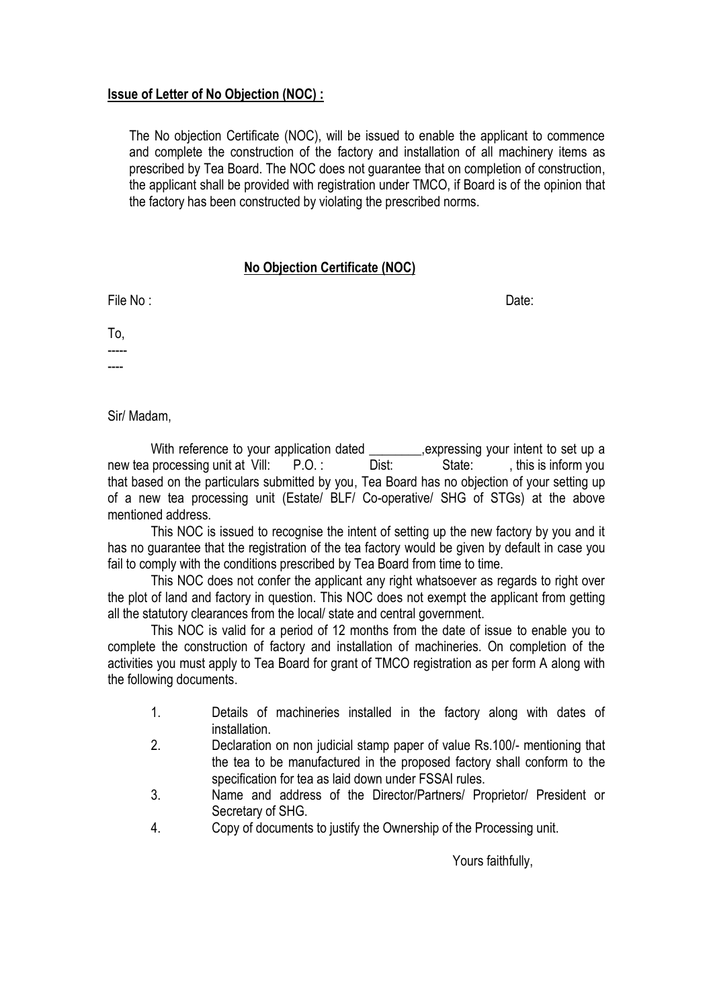#### **Issue of Letter of No Objection (NOC) :**

The No objection Certificate (NOC), will be issued to enable the applicant to commence and complete the construction of the factory and installation of all machinery items as prescribed by Tea Board. The NOC does not guarantee that on completion of construction, the applicant shall be provided with registration under TMCO, if Board is of the opinion that the factory has been constructed by violating the prescribed norms.

#### **No Objection Certificate (NOC)**

File No : Date:

To, -----

----

Sir/ Madam,

With reference to your application dated \_\_\_\_\_\_\_\_\_, expressing your intent to set up a new tea processing unit at Vill: P.O. : Dist: State: , this is inform you that based on the particulars submitted by you, Tea Board has no objection of your setting up of a new tea processing unit (Estate/ BLF/ Co-operative/ SHG of STGs) at the above mentioned address.

This NOC is issued to recognise the intent of setting up the new factory by you and it has no guarantee that the registration of the tea factory would be given by default in case you fail to comply with the conditions prescribed by Tea Board from time to time.

This NOC does not confer the applicant any right whatsoever as regards to right over the plot of land and factory in question. This NOC does not exempt the applicant from getting all the statutory clearances from the local/ state and central government.

This NOC is valid for a period of 12 months from the date of issue to enable you to complete the construction of factory and installation of machineries. On completion of the activities you must apply to Tea Board for grant of TMCO registration as per form A along with the following documents.

- 1. Details of machineries installed in the factory along with dates of installation.
- 2. Declaration on non judicial stamp paper of value Rs.100/- mentioning that the tea to be manufactured in the proposed factory shall conform to the specification for tea as laid down under FSSAI rules.
- 3. Name and address of the Director/Partners/ Proprietor/ President or Secretary of SHG.
- 4. Copy of documents to justify the Ownership of the Processing unit.

Yours faithfully,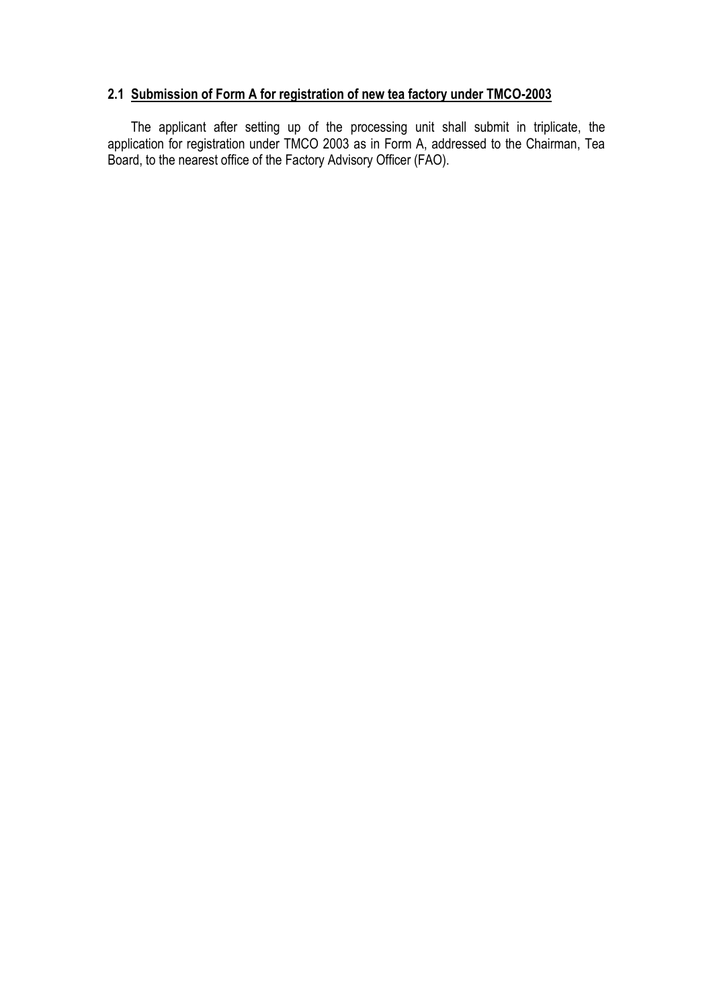### **2.1 Submission of Form A for registration of new tea factory under TMCO-2003**

 The applicant after setting up of the processing unit shall submit in triplicate, the application for registration under TMCO 2003 as in Form A, addressed to the Chairman, Tea Board, to the nearest office of the Factory Advisory Officer (FAO).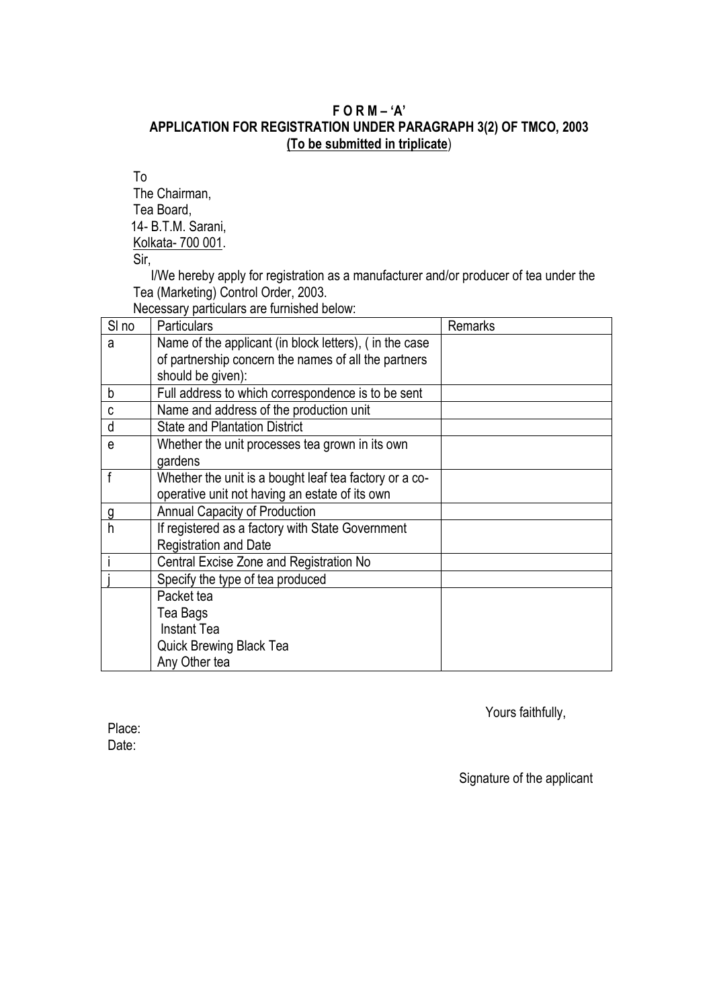### **F O R M – 'A' APPLICATION FOR REGISTRATION UNDER PARAGRAPH 3(2) OF TMCO, 2003 (To be submitted in triplicate**)

To The Chairman, Tea Board, 14- B.T.M. Sarani, Kolkata- 700 001.

Sir.

I/We hereby apply for registration as a manufacturer and/or producer of tea under the Tea (Marketing) Control Order, 2003.

Necessary particulars are furnished below:

| SI <sub>no</sub> | <b>Particulars</b>                                     | Remarks |
|------------------|--------------------------------------------------------|---------|
| a                | Name of the applicant (in block letters), (in the case |         |
|                  | of partnership concern the names of all the partners   |         |
|                  | should be given):                                      |         |
| b                | Full address to which correspondence is to be sent     |         |
| C                | Name and address of the production unit                |         |
| d                | <b>State and Plantation District</b>                   |         |
| e                | Whether the unit processes tea grown in its own        |         |
|                  | gardens                                                |         |
| f                | Whether the unit is a bought leaf tea factory or a co- |         |
|                  | operative unit not having an estate of its own         |         |
| g                | Annual Capacity of Production                          |         |
| h                | If registered as a factory with State Government       |         |
|                  | <b>Registration and Date</b>                           |         |
|                  | Central Excise Zone and Registration No                |         |
|                  | Specify the type of tea produced                       |         |
|                  | Packet tea                                             |         |
|                  | Tea Bags                                               |         |
|                  | <b>Instant Tea</b>                                     |         |
|                  | Quick Brewing Black Tea                                |         |
|                  | Any Other tea                                          |         |

Yours faithfully,

Place: Date:

Signature of the applicant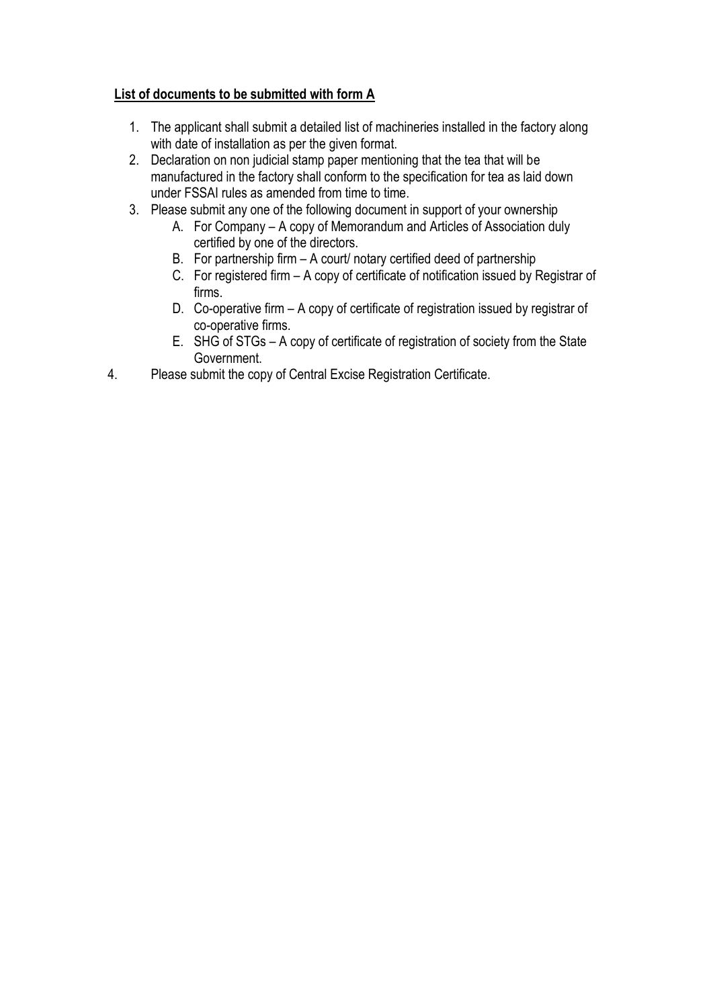## **List of documents to be submitted with form A**

- 1. The applicant shall submit a detailed list of machineries installed in the factory along with date of installation as per the given format.
- 2. Declaration on non judicial stamp paper mentioning that the tea that will be manufactured in the factory shall conform to the specification for tea as laid down under FSSAI rules as amended from time to time.
- 3. Please submit any one of the following document in support of your ownership
	- A. For Company A copy of Memorandum and Articles of Association duly certified by one of the directors.
		- B. For partnership firm A court/ notary certified deed of partnership
		- C. For registered firm A copy of certificate of notification issued by Registrar of firms.
		- D. Co-operative firm A copy of certificate of registration issued by registrar of co-operative firms.
		- E. SHG of STGs A copy of certificate of registration of society from the State Government.
- 4. Please submit the copy of Central Excise Registration Certificate.